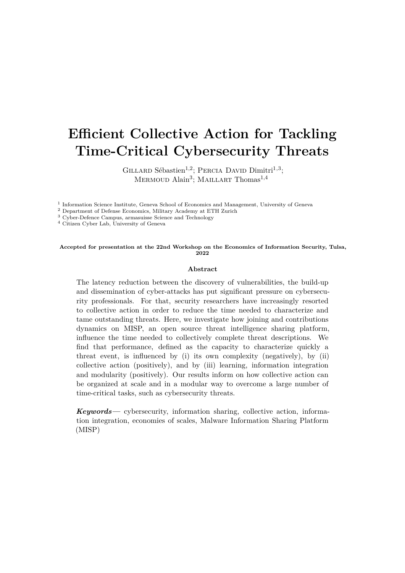# **Efficient Collective Action for Tackling Time-Critical Cybersecurity Threats**

GILLARD Sébastien<sup>1,2</sup>; PERCIA DAVID Dimitri<sup>1,3</sup>; Mermoud Alain<sup>3</sup> ; Maillart Thomas1*,*<sup>4</sup>

<sup>1</sup> Information Science Institute, Geneva School of Economics and Management, University of Geneva

<sup>2</sup> Department of Defense Economics, Military Academy at ETH Zurich

<sup>3</sup> Cyber-Defence Campus, armasuisse Science and Technology

<sup>4</sup> Citizen Cyber Lab, University of Geneva

#### **Accepted for presentation at the 22nd Workshop on the Economics of Information Security, Tulsa, 2022**

#### **Abstract**

The latency reduction between the discovery of vulnerabilities, the build-up and dissemination of cyber-attacks has put significant pressure on cybersecurity professionals. For that, security researchers have increasingly resorted to collective action in order to reduce the time needed to characterize and tame outstanding threats. Here, we investigate how joining and contributions dynamics on MISP, an open source threat intelligence sharing platform, influence the time needed to collectively complete threat descriptions. We find that performance, defined as the capacity to characterize quickly a threat event, is influenced by (i) its own complexity (negatively), by (ii) collective action (positively), and by (iii) learning, information integration and modularity (positively). Our results inform on how collective action can be organized at scale and in a modular way to overcome a large number of time-critical tasks, such as cybersecurity threats.

*Keywords—* cybersecurity, information sharing, collective action, information integration, economies of scales, Malware Information Sharing Platform (MISP)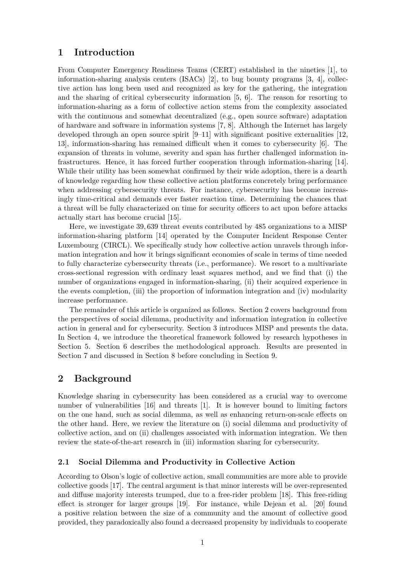## **1 Introduction**

From Computer Emergency Readiness Teams (CERT) established in the nineties [1], to information-sharing analysis centers (ISACs) [2], to bug bounty programs [3, 4], collective action has long been used and recognized as key for the gathering, the integration and the sharing of critical cybersecurity information [5, 6]. The reason for resorting to information-sharing as a form of collective action stems from the complexity associated with the continuous and somewhat decentralized (e.g., open source software) adaptation of hardware and software in information systems [7, 8]. Although the Internet has largely developed through an open source spirit  $[9-11]$  with significant positive externalities [12, 13], information-sharing has remained difficult when it comes to cybersecurity [6]. The expansion of threats in volume, severity and span has further challenged information infrastructures. Hence, it has forced further cooperation through information-sharing [14]. While their utility has been somewhat confirmed by their wide adoption, there is a dearth of knowledge regarding how these collective action platforms concretely bring performance when addressing cybersecurity threats. For instance, cybersecurity has become increasingly time-critical and demands ever faster reaction time. Determining the chances that a threat will be fully characterized on time for security officers to act upon before attacks actually start has become crucial [15].

Here, we investigate 39*,* 639 threat events contributed by 485 organizations to a MISP information-sharing platform [14] operated by the Computer Incident Response Center Luxembourg (CIRCL). We specifically study how collective action unravels through information integration and how it brings significant economies of scale in terms of time needed to fully characterize cybersecurity threats (i.e., performance). We resort to a multivariate cross-sectional regression with ordinary least squares method, and we find that (i) the number of organizations engaged in information-sharing, (ii) their acquired experience in the events completion, (iii) the proportion of information integration and (iv) modularity increase performance.

The remainder of this article is organized as follows. Section 2 covers background from the perspectives of social dilemma, productivity and information integration in collective action in general and for cybersecurity. Section 3 introduces MISP and presents the data. In Section 4, we introduce the theoretical framework followed by research hypotheses in Section 5. Section 6 describes the methodological approach. Results are presented in Section 7 and discussed in Section 8 before concluding in Section 9.

## **2 Background**

Knowledge sharing in cybersecurity has been considered as a crucial way to overcome number of vulnerabilities [16] and threats [1]. It is however bound to limiting factors on the one hand, such as social dilemma, as well as enhancing return-on-scale effects on the other hand. Here, we review the literature on (i) social dilemma and productivity of collective action, and on (ii) challenges associated with information integration. We then review the state-of-the-art research in (iii) information sharing for cybersecurity.

## **2.1 Social Dilemma and Productivity in Collective Action**

According to Olson's logic of collective action, small communities are more able to provide collective goods [17]. The central argument is that minor interests will be over-represented and diffuse majority interests trumped, due to a free-rider problem [18]. This free-riding effect is stronger for larger groups [19]. For instance, while Dejean et al. [20] found a positive relation between the size of a community and the amount of collective good provided, they paradoxically also found a decreased propensity by individuals to cooperate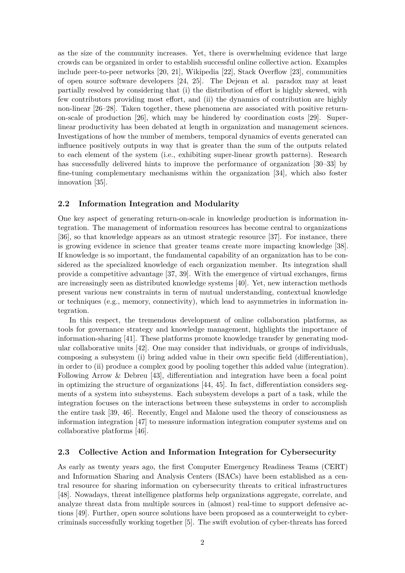as the size of the community increases. Yet, there is overwhelming evidence that large crowds can be organized in order to establish successful online collective action. Examples include peer-to-peer networks [20, 21], Wikipedia [22], Stack Overflow [23], communities of open source software developers [24, 25]. The Dejean et al. paradox may at least partially resolved by considering that (i) the distribution of effort is highly skewed, with few contributors providing most effort, and (ii) the dynamics of contribution are highly non-linear [26–28]. Taken together, these phenomena are associated with positive returnon-scale of production [26], which may be hindered by coordination costs [29]. Superlinear productivity has been debated at length in organization and management sciences. Investigations of how the number of members, temporal dynamics of events generated can influence positively outputs in way that is greater than the sum of the outputs related to each element of the system (i.e., exhibiting super-linear growth patterns). Research has successfully delivered hints to improve the performance of organization [30–33] by fine-tuning complementary mechanisms within the organization [34], which also foster innovation [35].

#### **2.2 Information Integration and Modularity**

One key aspect of generating return-on-scale in knowledge production is information integration. The management of information resources has become central to organizations [36], so that knowledge appears as an utmost strategic resource [37]. For instance, there is growing evidence in science that greater teams create more impacting knowledge [38]. If knowledge is so important, the fundamental capability of an organization has to be considered as the specialized knowledge of each organization member. Its integration shall provide a competitive advantage [37, 39]. With the emergence of virtual exchanges, firms are increasingly seen as distributed knowledge systems [40]. Yet, new interaction methods present various new constraints in term of mutual understanding, contextual knowledge or techniques (e.g., memory, connectivity), which lead to asymmetries in information integration.

In this respect, the tremendous development of online collaboration platforms, as tools for governance strategy and knowledge management, highlights the importance of information-sharing [41]. These platforms promote knowledge transfer by generating modular collaborative units [42]. One may consider that individuals, or groups of individuals, composing a subsystem (i) bring added value in their own specific field (differentiation), in order to (ii) produce a complex good by pooling together this added value (integration). Following Arrow & Debreu [43], differentiation and integration have been a focal point in optimizing the structure of organizations [44, 45]. In fact, differentiation considers segments of a system into subsystems. Each subsystem develops a part of a task, while the integration focuses on the interactions between these subsystems in order to accomplish the entire task [39, 46]. Recently, Engel and Malone used the theory of consciousness as information integration [47] to measure information integration computer systems and on collaborative platforms [46].

#### **2.3 Collective Action and Information Integration for Cybersecurity**

As early as twenty years ago, the first Computer Emergency Readiness Teams (CERT) and Information Sharing and Analysis Centers (ISACs) have been established as a central resource for sharing information on cybersecurity threats to critical infrastructures [48]. Nowadays, threat intelligence platforms help organizations aggregate, correlate, and analyze threat data from multiple sources in (almost) real-time to support defensive actions [49]. Further, open source solutions have been proposed as a counterweight to cybercriminals successfully working together [5]. The swift evolution of cyber-threats has forced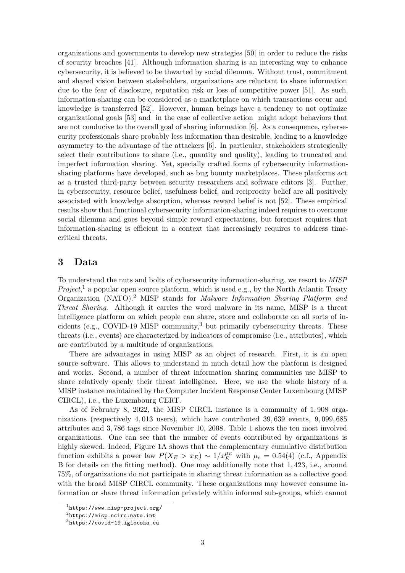organizations and governments to develop new strategies [50] in order to reduce the risks of security breaches [41]. Although information sharing is an interesting way to enhance cybersecurity, it is believed to be thwarted by social dilemma. Without trust, commitment and shared vision between stakeholders, organizations are reluctant to share information due to the fear of disclosure, reputation risk or loss of competitive power [51]. As such, information-sharing can be considered as a marketplace on which transactions occur and knowledge is transferred [52]. However, human beings have a tendency to not optimize organizational goals [53] and in the case of collective action might adopt behaviors that are not conducive to the overall goal of sharing information [6]. As a consequence, cybersecurity professionals share probably less information than desirable, leading to a knowledge asymmetry to the advantage of the attackers [6]. In particular, stakeholders strategically select their contributions to share (i.e., quantity and quality), leading to truncated and imperfect information sharing. Yet, specially crafted forms of cybersecurity informationsharing platforms have developed, such as bug bounty marketplaces. These platforms act as a trusted third-party between security researchers and software editors [3]. Further, in cybersecurity, resource belief, usefulness belief, and reciprocity belief are all positively associated with knowledge absorption, whereas reward belief is not [52]. These empirical results show that functional cybersecurity information-sharing indeed requires to overcome social dilemma and goes beyond simple reward expectations, but foremost requires that information-sharing is efficient in a context that increasingly requires to address timecritical threats.

## **3 Data**

To understand the nuts and bolts of cybersecurity information-sharing, we resort to *MISP* Project<sup>1</sup>, a popular open source platform, which is used e.g., by the North Atlantic Treaty Organization (NATO).<sup>2</sup> MISP stands for *Malware Information Sharing Platform and Threat Sharing*. Although it carries the word malware in its name, MISP is a threat intelligence platform on which people can share, store and collaborate on all sorts of incidents (e.g., COVID-19 MISP community, $3$  but primarily cybersecurity threats. These threats (i.e., events) are characterized by indicators of compromise (i.e., attributes), which are contributed by a multitude of organizations.

There are advantages in using MISP as an object of research. First, it is an open source software. This allows to understand in much detail how the platform is designed and works. Second, a number of threat information sharing communities use MISP to share relatively openly their threat intelligence. Here, we use the whole history of a MISP instance maintained by the Computer Incident Response Center Luxembourg (MISP CIRCL), i.e., the Luxembourg CERT.

As of February 8, 2022, the MISP CIRCL instance is a community of 1*,* 908 organizations (respectively 4*,* 013 users), which have contributed 39*,* 639 events, 9*,* 099*,* 685 attributes and 3*,* 786 tags since November 10, 2008. Table 1 shows the ten most involved organizations. One can see that the number of events contributed by organizations is highly skewed. Indeed, Figure 1A shows that the complementary cumulative distribution function exhibits a power law  $P(X_E > x_E) \sim 1/x_E^{\mu_E}$  with  $\mu_e = 0.54(4)$  (c.f., Appendix B for details on the fitting method). One may additionally note that 1*,* 423, i.e., around 75%, of organizations do not participate in sharing threat information as a collective good with the broad MISP CIRCL community. These organizations may however consume information or share threat information privately within informal sub-groups, which cannot

<sup>1</sup> https://www.misp-project.org/

<sup>2</sup> https://misp.ncirc.nato.int

 $^3$ https://covid-19.iglocska.eu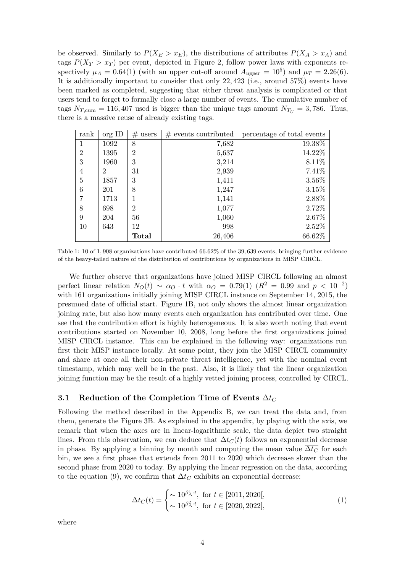be observed. Similarly to  $P(X_E > x_E)$ , the distributions of attributes  $P(X_A > x_A)$  and tags  $P(X_T > x_T)$  per event, depicted in Figure 2, follow power laws with exponents respectively  $\mu_A = 0.64(1)$  (with an upper cut-off around  $A_{upper} = 10^5$ ) and  $\mu_T = 2.26(6)$ . It is additionally important to consider that only 22*,* 423 (i.e., around 57%) events have been marked as completed, suggesting that either threat analysis is complicated or that users tend to forget to formally close a large number of events. The cumulative number of tags  $N_{T,\text{cum}} = 116,407$  used is bigger than the unique tags amount  $N_{T_U} = 3,786$ . Thus, there is a massive reuse of already existing tags.

| rank           | org ID | #<br>users     | $#$ events contributed | percentage of total events |
|----------------|--------|----------------|------------------------|----------------------------|
| 1              | 1092   | 8              | 7,682                  | 19.38%                     |
| $\overline{2}$ | 1395   | $\overline{2}$ | 5,637                  | 14.22%                     |
| 3              | 1960   | 3              | 3,214                  | 8.11%                      |
| 4              | 2      | 31             | 2,939                  | 7.41%                      |
| $\overline{5}$ | 1857   | 3              | 1,411                  | $3.56\%$                   |
| 6              | 201    | 8              | 1,247                  | 3.15%                      |
| 7              | 1713   |                | 1,141                  | 2.88%                      |
| 8              | 698    | $\overline{2}$ | 1,077                  | 2.72%                      |
| 9              | 204    | 56             | 1,060                  | 2.67%                      |
| 10             | 643    | 12             | 998                    | 2.52%                      |
|                |        | <b>Total</b>   | 26,406                 | 66.62%                     |

Table 1: 10 of 1*,* 908 organizations have contributed 66*.*62% of the 39*,* 639 events, bringing further evidence of the heavy-tailed nature of the distribution of contributions by organizations in MISP CIRCL.

We further observe that organizations have joined MISP CIRCL following an almost perfect linear relation  $N_O(t) \sim \alpha_O \cdot t$  with  $\alpha_O = 0.79(1)$  ( $R^2 = 0.99$  and  $p < 10^{-2}$ ) with 161 organizations initially joining MISP CIRCL instance on September 14, 2015, the presumed date of official start. Figure 1B, not only shows the almost linear organization joining rate, but also how many events each organization has contributed over time. One see that the contribution effort is highly heterogeneous. It is also worth noting that event contributions started on November 10, 2008, long before the first organizations joined MISP CIRCL instance. This can be explained in the following way: organizations run first their MISP instance locally. At some point, they join the MISP CIRCL community and share at once all their non-private threat intelligence, yet with the nominal event timestamp, which may well be in the past. Also, it is likely that the linear organization joining function may be the result of a highly vetted joining process, controlled by CIRCL.

## **3.1 Reduction of the Completion Time of Events** ∆*t<sup>C</sup>*

Following the method described in the Appendix B, we can treat the data and, from them, generate the Figure 3B. As explained in the appendix, by playing with the axis, we remark that when the axes are in linear-logarithmic scale, the data depict two straight lines. From this observation, we can deduce that  $\Delta t_C(t)$  follows an exponential decrease in phase. By applying a binning by month and computing the mean value  $\overline{\Delta t_C}$  for each bin, we see a first phase that extends from 2011 to 2020 which decrease slower than the second phase from 2020 to today. By applying the linear regression on the data, according to the equation (9), we confirm that  $\Delta t_C$  exhibits an exponential decrease:

$$
\Delta t_C(t) = \begin{cases} \sim 10^{\beta_{\Delta}^1 \cdot t}, \text{ for } t \in [2011, 2020], \\ \sim 10^{\beta_{\Delta}^2 \cdot t}, \text{ for } t \in [2020, 2022], \end{cases}
$$
(1)

where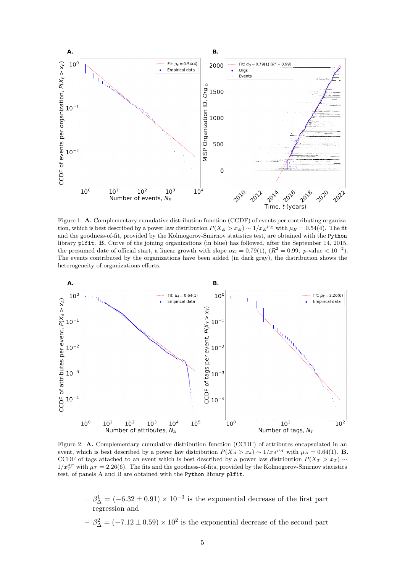

Figure 1: **A.** Complementary cumulative distribution function (CCDF) of events per contributing organization, which is best described by a power law distribution  $P(X_E > x_E) \sim 1/x_E^{\mu_E}$  with  $\mu_E = 0.54(4)$ . The fit and the goodness-of-fit, provided by the Kolmogorov-Smirnov statistics test, are obtained with the Python library plfit. **B.** Curve of the joining organizations (in blue) has followed, after the September 14, 2015, the presumed date of official start, a linear growth with slope  $\alpha_O = 0.79(1)$ ,  $(R^2 = 0.99, p-value < 10^{-2})$ . The events contributed by the organizations have been added (in dark gray), the distribution shows the heterogeneity of organizations efforts.



Figure 2: **A.** Complementary cumulative distribution function (CCDF) of attributes encapsulated in an event, which is best described by a power law distribution  $P(X_A > x_a) \sim 1/x_A{}^{\mu_A}$  with  $\mu_A = 0.64(1)$ . **B.** CCDF of tags attached to an event which is best described by a power law distribution  $P(X_T > x_T) \sim$  $1/x_T^{\mu_T}$  with  $\mu_T = 2.26(6)$ . The fits and the goodness-of-fits, provided by the Kolmogorov-Smirnov statistics test, of panels A and B are obtained with the Python library plfit.

 $\beta_{\Delta}^1 = (-6.32 \pm 0.91) \times 10^{-3}$  is the exponential decrease of the first part regression and

- 
$$
\beta_{\Delta}^2 = (-7.12 \pm 0.59) \times 10^2
$$
 is the exponential decrease of the second part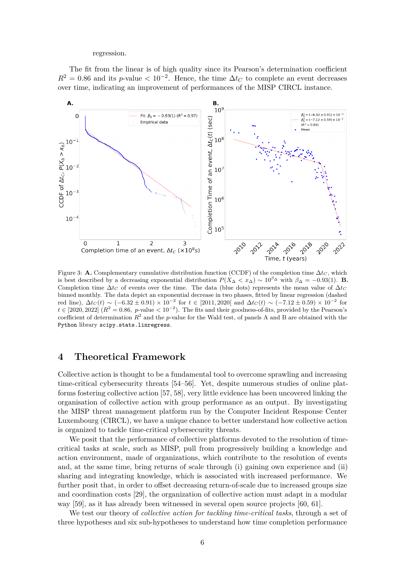#### regression.

The fit from the linear is of high quality since its Pearson's determination coefficient  $R^2 = 0.86$  and its *p*-value  $\lt 10^{-2}$ . Hence, the time  $\Delta t_C$  to complete an event decreases over time, indicating an improvement of performances of the MISP CIRCL instance.



Figure 3: **A.** Complementary cumulative distribution function (CCDF) of the completion time  $\Delta t_C$ , which is best described by a decreasing exponential distribution  $P(X_\Delta < x_\Delta) \sim 10^{\beta \Delta}$  with  $\beta_\Delta = -0.93(1)$ . **B.** Completion time  $\Delta t_C$  of events over the time. The data (blue dots) represents the mean value of  $\Delta t_C$ binned monthly. The data depict an exponential decrease in two phases, fitted by linear regression (dashed red line),  $\Delta t_C(t) \sim (-6.32 \pm 0.91) \times 10^{-2}$  for  $t \in [2011, 2020]$  and  $\Delta t_C(t) \sim (-7.12 \pm 0.59) \times 10^{-2}$  for  $t \in [2020, 2022]$  ( $R^2 = 0.86$ , *p*-value  $< 10^{-2}$ ). The fits and their goodness-of-fits, provided by the Pearson's coefficient of determination  $R^2$  and the *p*-value for the Wald test, of panels A and B are obtained with the Python library scipy.stats.linregress.

## **4 Theoretical Framework**

Collective action is thought to be a fundamental tool to overcome sprawling and increasing time-critical cybersecurity threats [54–56]. Yet, despite numerous studies of online platforms fostering collective action [57, 58], very little evidence has been uncovered linking the organisation of collective action with group performance as an output. By investigating the MISP threat management platform run by the Computer Incident Response Center Luxembourg (CIRCL), we have a unique chance to better understand how collective action is organized to tackle time-critical cybersecurity threats.

We posit that the performance of collective platforms devoted to the resolution of timecritical tasks at scale, such as MISP, pull from progressively building a knowledge and action environment, made of organizations, which contribute to the resolution of events and, at the same time, bring returns of scale through (i) gaining own experience and (ii) sharing and integrating knowledge, which is associated with increased performance. We further posit that, in order to offset decreasing return-of-scale due to increased groups size and coordination costs [29], the organization of collective action must adapt in a modular way [59], as it has already been witnessed in several open source projects [60, 61].

We test our theory of *collective action for tackling time-critical tasks*, through a set of three hypotheses and six sub-hypotheses to understand how time completion performance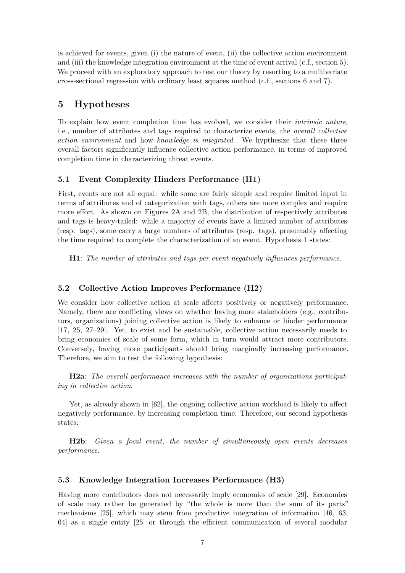is achieved for events, given (i) the nature of event, (ii) the collective action environment and (iii) the knowledge integration environment at the time of event arrival (c.f., section 5). We proceed with an exploratory approach to test our theory by resorting to a multivariate cross-sectional regression with ordinary least squares method (c.f., sections 6 and 7).

## **5 Hypotheses**

To explain how event completion time has evolved, we consider their *intrinsic nature*, i.e., number of attributes and tags required to characterize events, the *overall collective action environment* and how *knowledge is integrated*. We hypthesize that these three overall factors significantly influence collective action performance, in terms of improved completion time in characterizing threat events.

## **5.1 Event Complexity Hinders Performance (H1)**

First, events are not all equal: while some are fairly simple and require limited input in terms of attributes and of categorization with tags, others are more complex and require more effort. As shown on Figures 2A and 2B, the distribution of respectively attributes and tags is heavy-tailed: while a majority of events have a limited number of attributes (resp. tags), some carry a large numbers of attributes (resp. tags), presumably affecting the time required to complete the characterization of an event. Hypothesis 1 states:

**H1**: *The number of attributes and tags per event negatively influences performance.*

## **5.2 Collective Action Improves Performance (H2)**

We consider how collective action at scale affects positively or negatively performance. Namely, there are conflicting views on whether having more stakeholders (e.g., contributors, organizations) joining collective action is likely to enhance or hinder performance [17, 25, 27–29]. Yet, to exist and be sustainable, collective action necessarily needs to bring economies of scale of some form, which in turn would attract more contributors. Conversely, having more participants should bring marginally increasing performance. Therefore, we aim to test the following hypothesis:

**H2a**: *The overall performance increases with the number of organizations participating in collective action*.

Yet, as already shown in [62], the ongoing collective action workload is likely to affect negatively performance, by increasing completion time. Therefore, our second hypothesis states:

**H2b**: *Given a focal event, the number of simultaneously open events decreases performance.*

## **5.3 Knowledge Integration Increases Performance (H3)**

Having more contributors does not necessarily imply economies of scale [29]. Economies of scale may rather be generated by "the whole is more than the sum of its parts" mechanisms [25], which may stem from productive integration of information [46, 63, 64] as a single entity [25] or through the efficient communication of several modular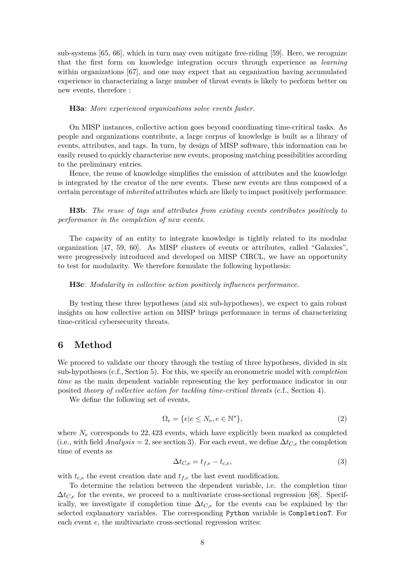sub-systems [65, 66], which in turn may even mitigate free-riding [59]. Here, we recognize that the first form on knowledge integration occurs through experience as *learning* within organizations [67], and one may expect that an organization having accumulated experience in characterizing a large number of threat events is likely to perform better on new events, therefore :

#### **H3a**: *More experienced organizations solve events faster.*

On MISP instances, collective action goes beyond coordinating time-critical tasks. As people and organizations contribute, a large corpus of knowledge is built as a library of events, attributes, and tags. In turn, by design of MISP software, this information can be easily reused to quickly characterize new events, proposing matching possibilities according to the preliminary entries.

Hence, the reuse of knowledge simplifies the emission of attributes and the knowledge is integrated by the creator of the new events. These new events are thus composed of a certain percentage of *inherited* attributes which are likely to impact positively performance:

**H3b**: *The reuse of tags and attributes from existing events contributes positively to performance in the completion of new events.*

The capacity of an entity to integrate knowledge is tightly related to its modular organization [47, 59, 60]. As MISP clusters of events or attributes, called "Galaxies", were progressively introduced and developed on MISP CIRCL, we have an opportunity to test for modularity. We therefore formulate the following hypothesis:

#### **H3c**: *Modularity in collective action positively influences performance.*

By testing these three hypotheses (and six sub-hypotheses), we expect to gain robust insights on how collective action on MISP brings performance in terms of characterizing time-critical cybersecurity threats.

## **6 Method**

We proceed to validate our theory through the testing of three hypotheses, divided in six sub-hypotheses (c.f., Section 5). For this, we specify an econometric model with *completion time* as the main dependent variable representing the key performance indicator in our posited *theory of collective action for tackling time-critical threats* (c.f., Section 4).

We define the following set of events,

$$
\Omega_e = \{ e | e \le N_e, e \in \mathbb{N}^* \},\tag{2}
$$

where  $N_e$  corresponds to 22, 423 events, which have explicitly been marked as completed (i.e., with field  $Analysis = 2$ , see section 3). For each event, we define  $\Delta t_{C,e}$  the completion time of events as

$$
\Delta t_{C,e} = t_{f,e} - t_{c,e},\tag{3}
$$

with  $t_{c,e}$  the event creation date and  $t_{f,e}$  the last event modification.

To determine the relation between the dependent variable, i.e. the completion time  $\Delta t_{C,e}$  for the events, we proceed to a multivariate cross-sectional regression [68]. Specifically, we investigate if completion time  $\Delta t_{C,e}$  for the events can be explained by the selected explanatory variables. The corresponding Python variable is CompletionT. For each event *e*, the multivariate cross-sectional regression writes: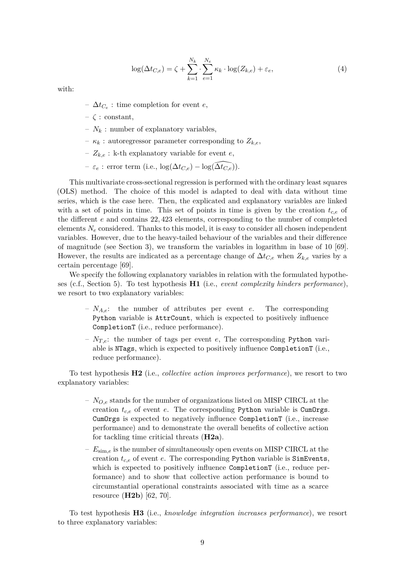$$
\log(\Delta t_{C,e}) = \zeta + \sum_{k=1}^{N_k} \cdot \sum_{e=1}^{N_e} \kappa_k \cdot \log(Z_{k,e}) + \varepsilon_e,\tag{4}
$$

with:

- $-$  ∆*t*<sub>*C*<sup>*e*</sup></sub> : time completion for event *e*,
- $\zeta$  : constant,
- $N_k$ : number of explanatory variables,
- $-\kappa_k$ : autoregressor parameter corresponding to  $Z_{k,e}$ ,
- $Z_{k,e}$ : k-th explanatory variable for event *e*,
- *ε<sup>e</sup>* : error term (i.e., log(∆*tC,e*) *−* log(∆\*tC,e*)).

This multivariate cross-sectional regression is performed with the ordinary least squares (OLS) method. The choice of this model is adapted to deal with data without time series, which is the case here. Then, the explicated and explanatory variables are linked with a set of points in time. This set of points in time is given by the creation *tc,e* of the different *e* and contains 22*,* 423 elements, corresponding to the number of completed elements *N<sup>e</sup>* considered. Thanks to this model, it is easy to consider all chosen independent variables. However, due to the heavy-tailed behaviour of the variables and their difference of magnitude (see Section 3), we transform the variables in logarithm in base of 10 [69]. However, the results are indicated as a percentage change of ∆*tC,e* when *Zk,e* varies by a certain percentage [69].

We specify the following explanatory variables in relation with the formulated hypotheses (c.f., Section 5). To test hypothesis **H1** (i.e., *event complexity hinders performance*), we resort to two explanatory variables:

- *NA,e*: the number of attributes per event *e*. The corresponding Python variable is AttrCount, which is expected to positively influence CompletionT (i.e., reduce performance).
- $N_{T,e}$ : the number of tags per event *e*, The corresponding Python variable is NTags, which is expected to positively influence CompletionT (i.e., reduce performance).

To test hypothesis **H2** (i.e., *collective action improves performance*), we resort to two explanatory variables:

- *NO,e* stands for the number of organizations listed on MISP CIRCL at the creation  $t_{c,e}$  of event *e*. The corresponding Python variable is CumOrgs. CumOrgs is expected to negatively influence CompletionT (i.e., increase performance) and to demonstrate the overall benefits of collective action for tackling time criticial threats (**H2a**).
- *E*sim*,e* is the number of simultaneously open events on MISP CIRCL at the creation *tc,e* of event *e*. The corresponding Python variable is SimEvents, which is expected to positively influence CompletionT (i.e., reduce performance) and to show that collective action performance is bound to circumstantial operational constraints associated with time as a scarce resource (**H2b**) [62, 70].

To test hypothesis **H3** (i.e., *knowledge integration increases performance*), we resort to three explanatory variables: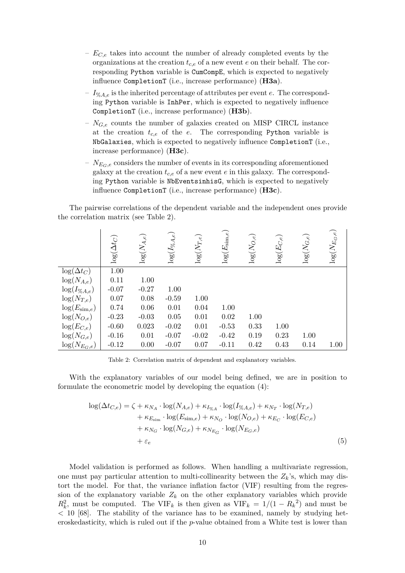- *EC,e* takes into account the number of already completed events by the organizations at the creation *tc,e* of a new event *e* on their behalf. The corresponding Python variable is CumCompE, which is expected to negatively influence CompletionT (i.e., increase performance) (**H3a**).
- *I*%*A,e* is the inherited percentage of attributes per event *e*. The corresponding Python variable is InhPer, which is expected to negatively influence CompletionT (i.e., increase performance) (**H3b**).
- *NG,e* counts the number of galaxies created on MISP CIRCL instance at the creation  $t_{c,e}$  of the  $e$ . The corresponding Python variable is NbGalaxies, which is expected to negatively influence CompletionT (i.e., increase performance) (**H3c**).
- $N_{E_G,e}$  considers the number of events in its corresponding aforementioned galaxy at the creation *tc,e* of a new event *e* in this galaxy. The corresponding Python variable is NbEventsinhisG, which is expected to negatively influence CompletionT (i.e., increase performance) (**H3c**).

The pairwise correlations of the dependent variable and the independent ones provide the correlation matrix (see Table 2).

|                          | $\log(\Delta t_C)$ | $\log(N_{A,e})$ | $\log(I_{\%A,e}$ | $\log(N_{T,e})$ | $\log(E_{\rm sim}$ | $\log(N_{O,e})$ | $\log(E_{C,e})$ | $\log(N_{G,e})$ | $\log(N_{E_G,e})$ |
|--------------------------|--------------------|-----------------|------------------|-----------------|--------------------|-----------------|-----------------|-----------------|-------------------|
| $\log(\Delta t_C)$       | 1.00               |                 |                  |                 |                    |                 |                 |                 |                   |
| $log(N_{A,e})$           | 0.11               | 1.00            |                  |                 |                    |                 |                 |                 |                   |
| $\log(I_{\%A,e})$        | $-0.07$            | $-0.27$         | 1.00             |                 |                    |                 |                 |                 |                   |
| $\log(N_{T,e})$          | 0.07               | 0.08            | $-0.59$          | 1.00            |                    |                 |                 |                 |                   |
| $\log(E_{\text{sim},e})$ | 0.74               | 0.06            | 0.01             | 0.04            | 1.00               |                 |                 |                 |                   |
| $log(N_{O,e})$           | $-0.23$            | $-0.03$         | $0.05\,$         | 0.01            | 0.02               | 1.00            |                 |                 |                   |
| $log(E_{C,e})$           | $-0.60$            | 0.023           | $-0.02$          | 0.01            | $-0.53$            | 0.33            | 1.00            |                 |                   |
| $\log(N_{G,e})$          | $-0.16$            | 0.01            | $-0.07$          | $-0.02$         | $-0.42$            | 0.19            | 0.23            | 1.00            |                   |
| $\log(N_{E_G,e})$        | $-0.12$            | 0.00            | $-0.07$          | 0.07            | $-0.11$            | 0.42            | 0.43            | 0.14            | 1.00              |

Table 2: Correlation matrix of dependent and explanatory variables.

With the explanatory variables of our model being defined, we are in position to formulate the econometric model by developing the equation (4):

$$
\log(\Delta t_{C,e}) = \zeta + \kappa_{N_A} \cdot \log(N_{A,e}) + \kappa_{I_{\%A}} \cdot \log(I_{\%A,e}) + \kappa_{N_T} \cdot \log(N_{T,e}) \n+ \kappa_{E_{\text{sim}}} \cdot \log(E_{\text{sim},e}) + \kappa_{N_O} \cdot \log(N_{O,e}) + \kappa_{E_C} \cdot \log(E_{C,e}) \n+ \kappa_{N_G} \cdot \log(N_{G,e}) + \kappa_{N_{E_G}} \cdot \log(N_{E_G,e}) \n+ \varepsilon_e
$$
\n(5)

Model validation is performed as follows. When handling a multivariate regression, one must pay particular attention to multi-collinearity between the  $Z_k$ 's, which may distort the model. For that, the variance inflation factor (VIF) resulting from the regression of the explanatory variable  $Z_k$  on the other explanatory variables which provide  $R_k^2$ , must be computed. The VIF<sub>*k*</sub> is then given as VIF<sub>*k*</sub> = 1/(1 *− R<sub>k</sub>*<sup>2</sup>) and must be *<* 10 [68]. The stability of the variance has to be examined, namely by studying heteroskedasticity, which is ruled out if the *p*-value obtained from a White test is lower than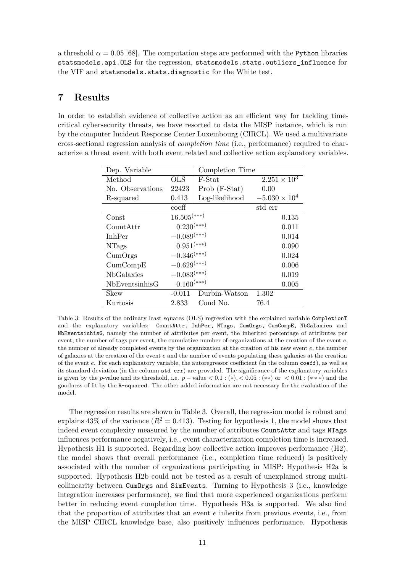a threshold  $\alpha = 0.05$  [68]. The computation steps are performed with the Python libraries statsmodels.api.OLS for the regression, statsmodels.stats.outliers\_influence for the VIF and statsmodels.stats.diagnostic for the White test.

## **7 Results**

In order to establish evidence of collective action as an efficient way for tackling timecritical cybersecurity threats, we have resorted to data the MISP instance, which is run by the computer Incident Response Center Luxembourg (CIRCL). We used a multivariate cross-sectional regression analysis of *completion time* (i.e., performance) required to characterize a threat event with both event related and collective action explanatory variables.

| Dep. Variable                     |                           | Completion Time |                        |       |  |
|-----------------------------------|---------------------------|-----------------|------------------------|-------|--|
| Method                            | <b>OLS</b>                | F-Stat          | $2.251 \times 10^3$    |       |  |
| No. Observations                  | 22423                     | Prob (F-Stat)   | 0.00                   |       |  |
| R-squared                         | 0.413                     | Log-likelihood  | $-5.030 \times 10^{4}$ |       |  |
|                                   | $\mathrm{coeff}$          |                 | std err                |       |  |
| Const                             | $16.505$ <sup>(***)</sup> |                 |                        | 0.135 |  |
| CountAttr                         | $0.230^{(***)}$           |                 |                        | 0.011 |  |
| <b>InhPer</b>                     | $-0.089$ <sup>(***)</sup> |                 | 0.014                  |       |  |
| <b>NTags</b>                      | $0.951^{(\ast\ast\ast)}$  |                 |                        | 0.090 |  |
| CumOrgs                           | $-0.346\sp{(***)}$        |                 |                        | 0.024 |  |
| CumCompE                          | $-0.629^{(\ast\ast\ast)}$ |                 | 0.006                  |       |  |
| <b>NbGalaxies</b>                 | $-0.083^{(\ast\ast\ast)}$ |                 |                        | 0.019 |  |
| $0.160^{(***)}$<br>NbEventsinhisG |                           |                 |                        | 0.005 |  |
| Skew                              | $-0.011$                  | Durbin-Watson   | 1.302                  |       |  |
| Kurtosis                          | 2.833                     | Cond No.        | 76.4                   |       |  |

Table 3: Results of the ordinary least squares (OLS) regression with the explained variable CompletionT and the explanatory variables: CountAttr, InhPer, NTags, CumOrgs, CumCompE, NbGalaxies and NbEventsinhisG, namely the number of attributes per event, the inherited percentage of attributes per event, the number of tags per event, the cumulative number of organizations at the creation of the event *e*, the number of already completed events by the organization at the creation of his new event *e*, the number of galaxies at the creation of the event *e* and the number of events populating these galaxies at the creation of the event *e*. For each explanatory variable, the autoregressor coefficient (in the column coeff), as well as its standard deviation (in the column std err) are provided. The significance of the explanatory variables is given by the *p*-value and its threshold, i.e.  $p$  – value  $\lt 0.1$ : (\*),  $\lt 0.05$ : (\*\*) or  $\lt 0.01$ : (\*\*\*) and the goodness-of-fit by the R-squared. The other added information are not necessary for the evaluation of the model.

The regression results are shown in Table 3. Overall, the regression model is robust and explains  $43\%$  of the variance  $(R^2 = 0.413)$ . Testing for hypothesis 1, the model shows that indeed event complexity measured by the number of attributes CountAttr and tags NTags influences performance negatively, i.e., event characterization completion time is increased. Hypothesis H1 is supported. Regarding how collective action improves performance (H2), the model shows that overall performance (i.e., completion time reduced) is positively associated with the number of organizations participating in MISP: Hypothesis H2a is supported. Hypothesis H2b could not be tested as a result of unexplained strong multicollinearity between CumOrgs and SimEvents. Turning to Hypothesis 3 (i.e., knowledge integration increases performance), we find that more experienced organizations perform better in reducing event completion time. Hypothesis H3a is supported. We also find that the proportion of attributes that an event *e* inherits from previous events, i.e., from the MISP CIRCL knowledge base, also positively influences performance. Hypothesis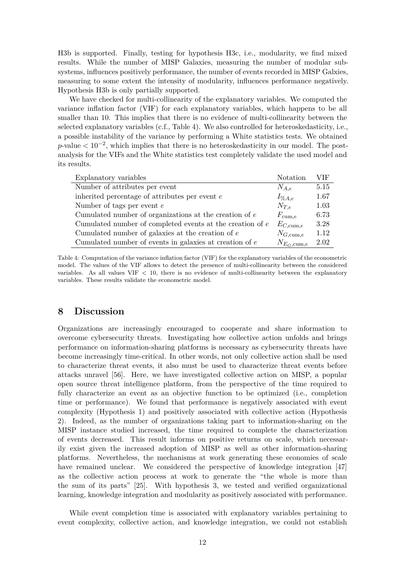H3b is supported. Finally, testing for hypothesis H3c, i.e., modularity, we find mixed results. While the number of MISP Galaxies, measuring the number of modular subsystems, influences positively performance, the number of events recorded in MISP Galxies, measuring to some extent the intensity of modularity, influences performance negatively. Hypothesis H3b is only partially supported.

We have checked for multi-collinearity of the explanatory variables. We computed the variance inflation factor (VIF) for each explanatory variables, which happens to be all smaller than 10. This implies that there is no evidence of multi-collinearity between the selected explanatory variables (c.f., Table 4). We also controlled for heteroskedasticity, i.e., a possible instability of the variance by performing a White statistics tests. We obtained *p*-value  $\langle 10^{-2}$ , which implies that there is no heteroskedasticity in our model. The postanalysis for the VIFs and the White statistics test completely validate the used model and its results.

| Explanatory variables                                       | Notation                 | VIF  |
|-------------------------------------------------------------|--------------------------|------|
| Number of attributes per event                              | $N_{A,e}$                | 5.15 |
| inherited percentage of attributes per event $e$            | $I_{\%A,e}$              | 1.67 |
| Number of tags per event $e$                                | $N_{T,e}$                | 1.03 |
| Cumulated number of organizations at the creation of $e$    | $F_{\text{cum},e}$       | 6.73 |
| Cumulated number of completed events at the creation of $e$ | $E_{C, \text{cum}, e}$   | 3.28 |
| Cumulated number of galaxies at the creation of $e$         | $N_{G, \text{cum}, e}$   | 1.12 |
| Cumulated number of events in galaxies at creation of $e$   | $N_{E_G, \text{cum}, e}$ | 2.02 |

Table 4: Computation of the variance inflation factor (VIF) for the explanatory variables of the econometric model. The values of the VIF allows to detect the presence of multi-collinearity between the considered variables. As all values VIF *<* 10, there is no evidence of multi-collinearity between the explanatory variables. These results validate the econometric model.

## **8 Discussion**

Organizations are increasingly encouraged to cooperate and share information to overcome cybersecurity threats. Investigating how collective action unfolds and brings performance on information-sharing platforms is necessary as cybersecurity threats have become increasingly time-critical. In other words, not only collective action shall be used to characterize threat events, it also must be used to characterize threat events before attacks unravel [56]. Here, we have investigated collective action on MISP, a popular open source threat intelligence platform, from the perspective of the time required to fully characterize an event as an objective function to be optimized (i.e., completion time or performance). We found that performance is negatively associated with event complexity (Hypothesis 1) and positively associated with collective action (Hypothesis 2). Indeed, as the number of organizations taking part to information-sharing on the MISP instance studied increased, the time required to complete the characterization of events decreased. This result informs on positive returns on scale, which necessarily exist given the increased adoption of MISP as well as other information-sharing platforms. Nevertheless, the mechanisms at work generating these economies of scale have remained unclear. We considered the perspective of knowledge integration [47] as the collective action process at work to generate the "the whole is more than the sum of its parts" [25]. With hypothesis 3, we tested and verified organizational learning, knowledge integration and modularity as positively associated with performance.

While event completion time is associated with explanatory variables pertaining to event complexity, collective action, and knowledge integration, we could not establish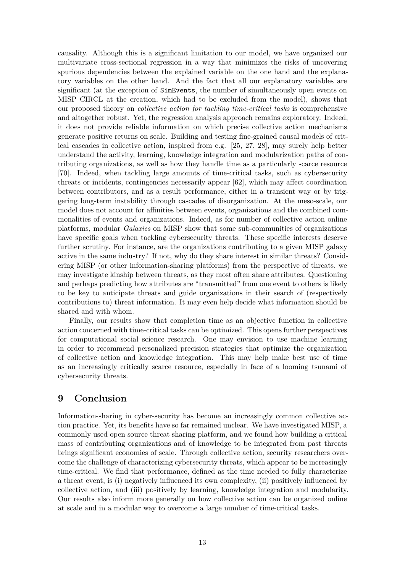causality. Although this is a significant limitation to our model, we have organized our multivariate cross-sectional regression in a way that minimizes the risks of uncovering spurious dependencies between the explained variable on the one hand and the explanatory variables on the other hand. And the fact that all our explanatory variables are significant (at the exception of SimEvents, the number of simultaneously open events on MISP CIRCL at the creation, which had to be excluded from the model), shows that our proposed theory on *collective action for tackling time-critical tasks* is comprehensive and altogether robust. Yet, the regression analysis approach remains exploratory. Indeed, it does not provide reliable information on which precise collective action mechanisms generate positive returns on scale. Building and testing fine-grained causal models of critical cascades in collective action, inspired from e.g. [25, 27, 28], may surely help better understand the activity, learning, knowledge integration and modularization paths of contributing organizations, as well as how they handle time as a particularly scarce resource [70]. Indeed, when tackling large amounts of time-critical tasks, such as cybersecurity threats or incidents, contingencies necessarily appear [62], which may affect coordination between contributors, and as a result performance, either in a transient way or by triggering long-term instability through cascades of disorganization. At the meso-scale, our model does not account for affinities between events, organizations and the combined commonalities of events and organizations. Indeed, as for number of collective action online platforms, modular *Galaxies* on MISP show that some sub-communities of organizations have specific goals when tackling cybersecurity threats. These specific interests deserve further scrutiny. For instance, are the organizations contributing to a given MISP galaxy active in the same industry? If not, why do they share interest in similar threats? Considering MISP (or other information-sharing platforms) from the perspective of threats, we may investigate kinship between threats, as they most often share attributes. Questioning and perhaps predicting how attributes are "transmitted" from one event to others is likely to be key to anticipate threats and guide organizations in their search of (respectively contributions to) threat information. It may even help decide what information should be shared and with whom.

Finally, our results show that completion time as an objective function in collective action concerned with time-critical tasks can be optimized. This opens further perspectives for computational social science research. One may envision to use machine learning in order to recommend personalized precision strategies that optimize the organization of collective action and knowledge integration. This may help make best use of time as an increasingly critically scarce resource, especially in face of a looming tsunami of cybersecurity threats.

## **9 Conclusion**

Information-sharing in cyber-security has become an increasingly common collective action practice. Yet, its benefits have so far remained unclear. We have investigated MISP, a commonly used open source threat sharing platform, and we found how building a critical mass of contributing organizations and of knowledge to be integrated from past threats brings significant economies of scale. Through collective action, security researchers overcome the challenge of characterizing cybersecurity threats, which appear to be increasingly time-critical. We find that performance, defined as the time needed to fully characterize a threat event, is (i) negatively influenced its own complexity, (ii) positively influenced by collective action, and (iii) positively by learning, knowledge integration and modularity. Our results also inform more generally on how collective action can be organized online at scale and in a modular way to overcome a large number of time-critical tasks.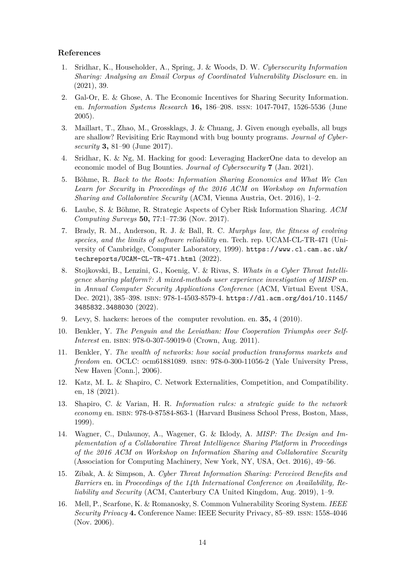#### **References**

- 1. Sridhar, K., Householder, A., Spring, J. & Woods, D. W. *Cybersecurity Information Sharing: Analysing an Email Corpus of Coordinated Vulnerability Disclosure* en. in (2021), 39.
- 2. Gal-Or, E. & Ghose, A. The Economic Incentives for Sharing Security Information. en. *Information Systems Research* **16,** 186–208. issn: 1047-7047, 1526-5536 (June 2005).
- 3. Maillart, T., Zhao, M., Grossklags, J. & Chuang, J. Given enough eyeballs, all bugs are shallow? Revisiting Eric Raymond with bug bounty programs. *Journal of Cybersecurity* **3,** 81–90 (June 2017).
- 4. Sridhar, K. & Ng, M. Hacking for good: Leveraging HackerOne data to develop an economic model of Bug Bounties. *Journal of Cybersecurity* **7** (Jan. 2021).
- 5. Böhme, R. *Back to the Roots: Information Sharing Economics and What We Can Learn for Security* in *Proceedings of the 2016 ACM on Workshop on Information Sharing and Collaborative Security* (ACM, Vienna Austria, Oct. 2016), 1–2.
- 6. Laube, S. & Böhme, R. Strategic Aspects of Cyber Risk Information Sharing. *ACM Computing Surveys* **50,** 77:1–77:36 (Nov. 2017).
- 7. Brady, R. M., Anderson, R. J. & Ball, R. C. *Murphys law, the fitness of evolving species, and the limits of software reliability* en. Tech. rep. UCAM-CL-TR-471 (University of Cambridge, Computer Laboratory, 1999). https://www.cl.cam.ac.uk/ techreports/UCAM-CL-TR-471.html (2022).
- 8. Stojkovski, B., Lenzini, G., Koenig, V. & Rivas, S. *Whats in a Cyber Threat Intelligence sharing platform?: A mixed-methods user experience investigation of MISP* en. in *Annual Computer Security Applications Conference* (ACM, Virtual Event USA, Dec. 2021), 385–398. isbn: 978-1-4503-8579-4. https://dl.acm.org/doi/10.1145/ 3485832.3488030 (2022).
- 9. Levy, S. hackers: heroes of the computer revolution. en. **35,** 4 (2010).
- 10. Benkler, Y. *The Penguin and the Leviathan: How Cooperation Triumphs over Self-Interest* en. isbn: 978-0-307-59019-0 (Crown, Aug. 2011).
- 11. Benkler, Y. *The wealth of networks: how social production transforms markets and freedom* en. OCLC: ocm61881089. isbn: 978-0-300-11056-2 (Yale University Press, New Haven [Conn.], 2006).
- 12. Katz, M. L. & Shapiro, C. Network Externalities, Competition, and Compatibility. en, 18 (2021).
- 13. Shapiro, C. & Varian, H. R. *Information rules: a strategic guide to the network economy* en. isbn: 978-0-87584-863-1 (Harvard Business School Press, Boston, Mass, 1999).
- 14. Wagner, C., Dulaunoy, A., Wagener, G. & Iklody, A. *MISP: The Design and Implementation of a Collaborative Threat Intelligence Sharing Platform* in *Proceedings of the 2016 ACM on Workshop on Information Sharing and Collaborative Security* (Association for Computing Machinery, New York, NY, USA, Oct. 2016), 49–56.
- 15. Zibak, A. & Simpson, A. *Cyber Threat Information Sharing: Perceived Benefits and Barriers* en. in *Proceedings of the 14th International Conference on Availability, Reliability and Security* (ACM, Canterbury CA United Kingdom, Aug. 2019), 1–9.
- 16. Mell, P., Scarfone, K. & Romanosky, S. Common Vulnerability Scoring System. *IEEE Security Privacy* **4.** Conference Name: IEEE Security Privacy, 85–89. issn: 1558-4046 (Nov. 2006).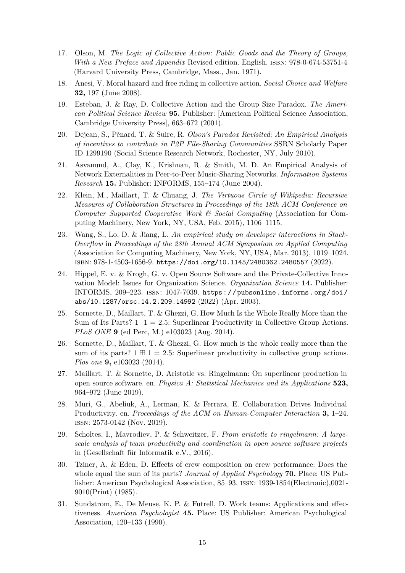- 17. Olson, M. *The Logic of Collective Action: Public Goods and the Theory of Groups, With a New Preface and Appendix* Revised edition. English. ISBN: 978-0-674-53751-4 (Harvard University Press, Cambridge, Mass., Jan. 1971).
- 18. Anesi, V. Moral hazard and free riding in collective action. *Social Choice and Welfare* **32,** 197 (June 2008).
- 19. Esteban, J. & Ray, D. Collective Action and the Group Size Paradox. *The American Political Science Review* **95.** Publisher: [American Political Science Association, Cambridge University Press], 663–672 (2001).
- 20. Dejean, S., Pénard, T. & Suire, R. *Olson's Paradox Revisited: An Empirical Analysis of incentives to contribute in P2P File-Sharing Communities* SSRN Scholarly Paper ID 1299190 (Social Science Research Network, Rochester, NY, July 2010).
- 21. Asvanund, A., Clay, K., Krishnan, R. & Smith, M. D. An Empirical Analysis of Network Externalities in Peer-to-Peer Music-Sharing Networks. *Information Systems Research* **15.** Publisher: INFORMS, 155–174 (June 2004).
- 22. Klein, M., Maillart, T. & Chuang, J. *The Virtuous Circle of Wikipedia: Recursive Measures of Collaboration Structures* in *Proceedings of the 18th ACM Conference on Computer Supported Cooperative Work & Social Computing* (Association for Computing Machinery, New York, NY, USA, Feb. 2015), 1106–1115.
- 23. Wang, S., Lo, D. & Jiang, L. *An empirical study on developer interactions in Stack-Overflow* in *Proceedings of the 28th Annual ACM Symposium on Applied Computing* (Association for Computing Machinery, New York, NY, USA, Mar. 2013), 1019–1024. isbn: 978-1-4503-1656-9. https://doi.org/10.1145/2480362.2480557 (2022).
- 24. Hippel, E. v. & Krogh, G. v. Open Source Software and the Private-Collective Innovation Model: Issues for Organization Science. *Organization Science* **14.** Publisher: INFORMS, 209–223. issn: 1047-7039. https : / / pubsonline . informs . org / doi / abs/10.1287/orsc.14.2.209.14992 (2022) (Apr. 2003).
- 25. Sornette, D., Maillart, T. & Ghezzi, G. How Much Is the Whole Really More than the Sum of Its Parts?  $1 \t1 = 2.5$ : Superlinear Productivity in Collective Group Actions. *PLoS ONE* **9** (ed Perc, M.) e103023 (Aug. 2014).
- 26. Sornette, D., Maillart, T. & Ghezzi, G. How much is the whole really more than the sum of its parts?  $1 \boxplus 1 = 2.5$ : Superlinear productivity in collective group actions. *Plos one* **9,** e103023 (2014).
- 27. Maillart, T. & Sornette, D. Aristotle vs. Ringelmann: On superlinear production in open source software. en. *Physica A: Statistical Mechanics and its Applications* **523,** 964–972 (June 2019).
- 28. Muri, G., Abeliuk, A., Lerman, K. & Ferrara, E. Collaboration Drives Individual Productivity. en. *Proceedings of the ACM on Human-Computer Interaction* **3,** 1–24. issn: 2573-0142 (Nov. 2019).
- 29. Scholtes, I., Mavrodiev, P. & Schweitzer, F. *From aristotle to ringelmann: A largescale analysis of team productivity and coordination in open source software projects* in (Gesellschaft für Informatik e.V., 2016).
- 30. Tziner, A. & Eden, D. Effects of crew composition on crew performance: Does the whole equal the sum of its parts? *Journal of Applied Psychology* **70.** Place: US Publisher: American Psychological Association, 85–93. issn: 1939-1854(Electronic),0021- 9010(Print) (1985).
- 31. Sundstrom, E., De Meuse, K. P. & Futrell, D. Work teams: Applications and effectiveness. *American Psychologist* **45.** Place: US Publisher: American Psychological Association, 120–133 (1990).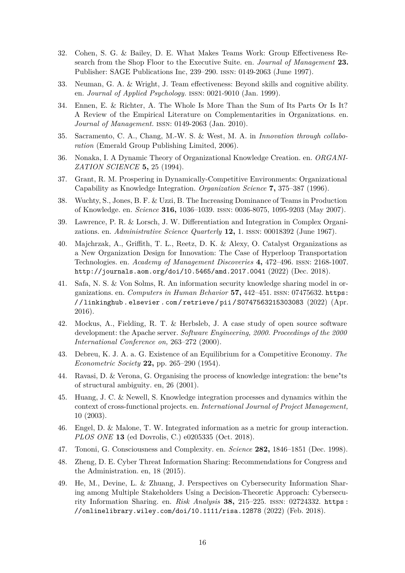- 32. Cohen, S. G. & Bailey, D. E. What Makes Teams Work: Group Effectiveness Research from the Shop Floor to the Executive Suite. en. *Journal of Management* **23.** Publisher: SAGE Publications Inc, 239–290. issn: 0149-2063 (June 1997).
- 33. Neuman, G. A. & Wright, J. Team effectiveness: Beyond skills and cognitive ability. en. *Journal of Applied Psychology.* issn: 0021-9010 (Jan. 1999).
- 34. Ennen, E. & Richter, A. The Whole Is More Than the Sum of Its Parts Or Is It? A Review of the Empirical Literature on Complementarities in Organizations. en. *Journal of Management.* issn: 0149-2063 (Jan. 2010).
- 35. Sacramento, C. A., Chang, M.-W. S. & West, M. A. in *Innovation through collaboration* (Emerald Group Publishing Limited, 2006).
- 36. Nonaka, I. A Dynamic Theory of Organizational Knowledge Creation. en. *ORGANI-ZATION SCIENCE* **5,** 25 (1994).
- 37. Grant, R. M. Prospering in Dynamically-Competitive Environments: Organizational Capability as Knowledge Integration. *Organization Science* **7,** 375–387 (1996).
- 38. Wuchty, S., Jones, B. F. & Uzzi, B. The Increasing Dominance of Teams in Production of Knowledge. en. *Science* **316,** 1036–1039. issn: 0036-8075, 1095-9203 (May 2007).
- 39. Lawrence, P. R. & Lorsch, J. W. Differentiation and Integration in Complex Organizations. en. *Administrative Science Quarterly* **12,** 1. issn: 00018392 (June 1967).
- 40. Majchrzak, A., Griffith, T. L., Reetz, D. K. & Alexy, O. Catalyst Organizations as a New Organization Design for Innovation: The Case of Hyperloop Transportation Technologies. en. *Academy of Management Discoveries* **4,** 472–496. issn: 2168-1007. http://journals.aom.org/doi/10.5465/amd.2017.0041 (2022) (Dec. 2018).
- 41. Safa, N. S. & Von Solms, R. An information security knowledge sharing model in organizations. en. *Computers in Human Behavior* **57,** 442–451. issn: 07475632. https: / / linkinghub . elsevier . com / retrieve / pii / S0747563215303083 (2022) (Apr. 2016).
- 42. Mockus, A., Fielding, R. T. & Herbsleb, J. A case study of open source software development: the Apache server. *Software Engineering, 2000. Proceedings of the 2000 International Conference on,* 263–272 (2000).
- 43. Debreu, K. J. A. a. G. Existence of an Equilibrium for a Competitive Economy. *The Econometric Society* **22,** pp. 265–290 (1954).
- 44. Ravasi, D. & Verona, G. Organising the process of knowledge integration: the bene"ts of structural ambiguity. en, 26 (2001).
- 45. Huang, J. C. & Newell, S. Knowledge integration processes and dynamics within the context of cross-functional projects. en. *International Journal of Project Management,* 10 (2003).
- 46. Engel, D. & Malone, T. W. Integrated information as a metric for group interaction. *PLOS ONE* **13** (ed Dovrolis, C.) e0205335 (Oct. 2018).
- 47. Tononi, G. Consciousness and Complexity. en. *Science* **282,** 1846–1851 (Dec. 1998).
- 48. Zheng, D. E. Cyber Threat Information Sharing: Recommendations for Congress and the Administration. en, 18 (2015).
- 49. He, M., Devine, L. & Zhuang, J. Perspectives on Cybersecurity Information Sharing among Multiple Stakeholders Using a Decision-Theoretic Approach: Cybersecurity Information Sharing. en. *Risk Analysis* **38,** 215–225. issn: 02724332. https : //onlinelibrary.wiley.com/doi/10.1111/risa.12878 (2022) (Feb. 2018).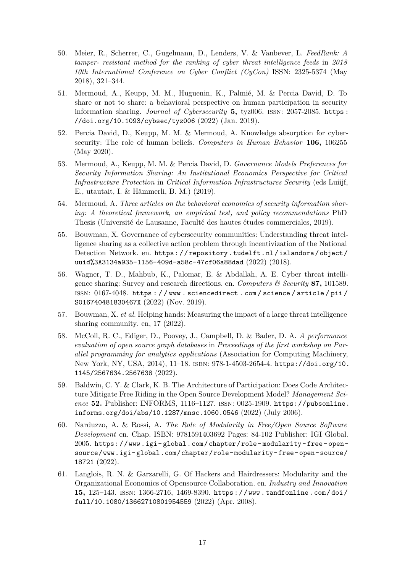- 50. Meier, R., Scherrer, C., Gugelmann, D., Lenders, V. & Vanbever, L. *FeedRank: A tamper- resistant method for the ranking of cyber threat intelligence feeds* in *2018 10th International Conference on Cyber Conflict (CyCon)* ISSN: 2325-5374 (May 2018), 321–344.
- 51. Mermoud, A., Keupp, M. M., Huguenin, K., Palmié, M. & Percia David, D. To share or not to share: a behavioral perspective on human participation in security information sharing. *Journal of Cybersecurity* **5,** tyz006. issn: 2057-2085. https : //doi.org/10.1093/cybsec/tyz006 (2022) (Jan. 2019).
- 52. Percia David, D., Keupp, M. M. & Mermoud, A. Knowledge absorption for cybersecurity: The role of human beliefs. *Computers in Human Behavior* **106,** 106255 (May 2020).
- 53. Mermoud, A., Keupp, M. M. & Percia David, D. *Governance Models Preferences for Security Information Sharing: An Institutional Economics Perspective for Critical Infrastructure Protection* in *Critical Information Infrastructures Security* (eds Luiijf, E., utautait, I. & Hämmerli, B. M.) (2019).
- 54. Mermoud, A. *Three articles on the behavioral economics of security information sharing: A theoretical framework, an empirical test, and policy recommendations* PhD Thesis (Université de Lausanne, Faculté des hautes études commerciales, 2019).
- 55. Bouwman, X. Governance of cybersecurity communities: Understanding threat intelligence sharing as a collective action problem through incentivization of the National Detection Network. en. https : / / repository . tudelft . nl / islandora / object / uuid%3A3134a935-1156-409d-a58c-47cf06a88dad (2022) (2018).
- 56. Wagner, T. D., Mahbub, K., Palomar, E. & Abdallah, A. E. Cyber threat intelligence sharing: Survey and research directions. en. *Computers & Security* **87,** 101589. issn: 0167-4048. https : / / www . sciencedirect . com / science / article / pii / S016740481830467X (2022) (Nov. 2019).
- 57. Bouwman, X. *et al.* Helping hands: Measuring the impact of a large threat intelligence sharing community. en, 17 (2022).
- 58. McColl, R. C., Ediger, D., Poovey, J., Campbell, D. & Bader, D. A. *A performance evaluation of open source graph databases* in *Proceedings of the first workshop on Parallel programming for analytics applications* (Association for Computing Machinery, New York, NY, USA, 2014), 11–18. isbn: 978-1-4503-2654-4. https://doi.org/10. 1145/2567634.2567638 (2022).
- 59. Baldwin, C. Y. & Clark, K. B. The Architecture of Participation: Does Code Architecture Mitigate Free Riding in the Open Source Development Model? *Management Science* **52.** Publisher: INFORMS, 1116–1127. issn: 0025-1909. https://pubsonline. informs.org/doi/abs/10.1287/mnsc.1060.0546 (2022) (July 2006).
- 60. Narduzzo, A. & Rossi, A. *The Role of Modularity in Free/Open Source Software Development* en. Chap. ISBN: 9781591403692 Pages: 84-102 Publisher: IGI Global. 2005. https://www.igi- global.com/chapter/role- modularity- free- opensource/www.igi- global.com/chapter/role- modularity- free- open- source/ 18721 (2022).
- 61. Langlois, R. N. & Garzarelli, G. Of Hackers and Hairdressers: Modularity and the Organizational Economics of Opensource Collaboration. en. *Industry and Innovation* **15,** 125–143. issn: 1366-2716, 1469-8390. https : / / www . tandfonline . com / doi / full/10.1080/13662710801954559 (2022) (Apr. 2008).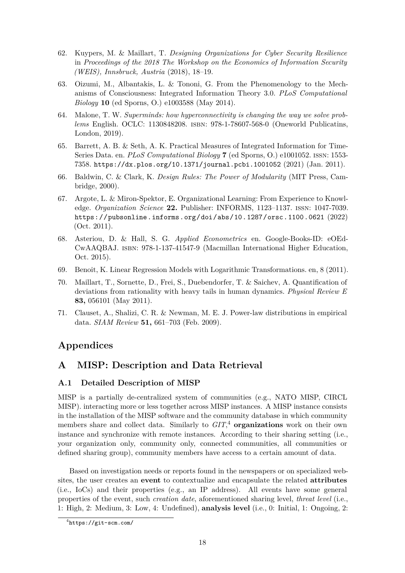- 62. Kuypers, M. & Maillart, T. *Designing Organizations for Cyber Security Resilience* in *Proceedings of the 2018 The Workshop on the Economics of Information Security (WEIS), Innsbruck, Austria* (2018), 18–19.
- 63. Oizumi, M., Albantakis, L. & Tononi, G. From the Phenomenology to the Mechanisms of Consciousness: Integrated Information Theory 3.0. *PLoS Computational Biology* **10** (ed Sporns, O.) e1003588 (May 2014).
- 64. Malone, T. W. *Superminds: how hyperconnectivity is changing the way we solve problems* English. OCLC: 1130848208. isbn: 978-1-78607-568-0 (Oneworld Publicatins, London, 2019).
- 65. Barrett, A. B. & Seth, A. K. Practical Measures of Integrated Information for Time-Series Data. en. *PLoS Computational Biology* **7** (ed Sporns, O.) e1001052. issn: 1553- 7358. https://dx.plos.org/10.1371/journal.pcbi.1001052 (2021) (Jan. 2011).
- 66. Baldwin, C. & Clark, K. *Design Rules: The Power of Modularity* (MIT Press, Cambridge, 2000).
- 67. Argote, L. & Miron-Spektor, E. Organizational Learning: From Experience to Knowledge. *Organization Science* **22.** Publisher: INFORMS, 1123–1137. issn: 1047-7039. https://pubsonline.informs.org/doi/abs/10.1287/orsc.1100.0621 (2022) (Oct. 2011).
- 68. Asteriou, D. & Hall, S. G. *Applied Econometrics* en. Google-Books-ID: eOEd-CwAAQBAJ. isbn: 978-1-137-41547-9 (Macmillan International Higher Education, Oct. 2015).
- 69. Benoit, K. Linear Regression Models with Logarithmic Transformations. en, 8 (2011).
- 70. Maillart, T., Sornette, D., Frei, S., Duebendorfer, T. & Saichev, A. Quantification of deviations from rationality with heavy tails in human dynamics. *Physical Review E* **83,** 056101 (May 2011).
- 71. Clauset, A., Shalizi, C. R. & Newman, M. E. J. Power-law distributions in empirical data. *SIAM Review* **51,** 661–703 (Feb. 2009).

## **Appendices**

## **A MISP: Description and Data Retrieval**

## **A.1 Detailed Description of MISP**

MISP is a partially de-centralized system of communities (e.g., NATO MISP, CIRCL MISP). interacting more or less together across MISP instances. A MISP instance consists in the installation of the MISP software and the community database in which community members share and collect data. Similarly to *GIT*, <sup>4</sup> **organizations** work on their own instance and synchronize with remote instances. According to their sharing setting (i.e., your organization only, community only, connected communities, all communities or defined sharing group), community members have access to a certain amount of data.

Based on investigation needs or reports found in the newspapers or on specialized websites, the user creates an **event** to contextualize and encapsulate the related **attributes** (i.e., IoCs) and their properties (e.g., an IP address). All events have some general properties of the event, such *creation date*, aforementioned sharing level, *threat level* (i.e., 1: High, 2: Medium, 3: Low, 4: Undefined), **analysis level** (i.e., 0: Initial, 1: Ongoing, 2:

<sup>4</sup> https://git-scm.com/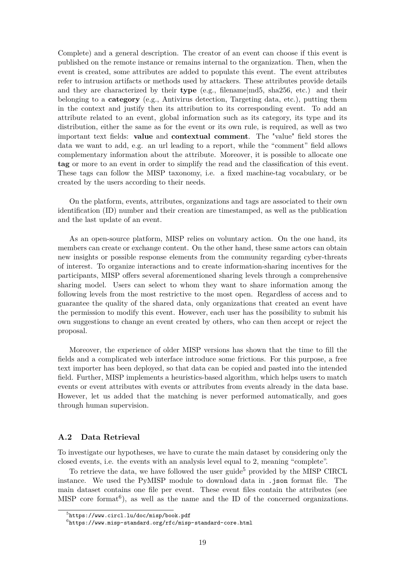Complete) and a general description. The creator of an event can choose if this event is published on the remote instance or remains internal to the organization. Then, when the event is created, some attributes are added to populate this event. The event attributes refer to intrusion artifacts or methods used by attackers. These attributes provide details and they are characterized by their **type** (e.g., filename|md5, sha256, etc.) and their belonging to a **category** (e.g., Antivirus detection, Targeting data, etc.), putting them in the context and justify then its attribution to its corresponding event. To add an attribute related to an event, global information such as its category, its type and its distribution, either the same as for the event or its own rule, is required, as well as two important text fields: **value** and **contextual comment**. The "value" field stores the data we want to add, e.g. an url leading to a report, while the "comment" field allows complementary information about the attribute. Moreover, it is possible to allocate one **tag** or more to an event in order to simplify the read and the classification of this event. These tags can follow the MISP taxonomy, i.e. a fixed machine-tag vocabulary, or be created by the users according to their needs.

On the platform, events, attributes, organizations and tags are associated to their own identification (ID) number and their creation are timestamped, as well as the publication and the last update of an event.

As an open-source platform, MISP relies on voluntary action. On the one hand, its members can create or exchange content. On the other hand, these same actors can obtain new insights or possible response elements from the community regarding cyber-threats of interest. To organize interactions and to create information-sharing incentives for the participants, MISP offers several aforementioned sharing levels through a comprehensive sharing model. Users can select to whom they want to share information among the following levels from the most restrictive to the most open. Regardless of access and to guarantee the quality of the shared data, only organizations that created an event have the permission to modify this event. However, each user has the possibility to submit his own suggestions to change an event created by others, who can then accept or reject the proposal.

Moreover, the experience of older MISP versions has shown that the time to fill the fields and a complicated web interface introduce some frictions. For this purpose, a free text importer has been deployed, so that data can be copied and pasted into the intended field. Further, MISP implements a heuristics-based algorithm, which helps users to match events or event attributes with events or attributes from events already in the data base. However, let us added that the matching is never performed automatically, and goes through human supervision.

#### **A.2 Data Retrieval**

To investigate our hypotheses, we have to curate the main dataset by considering only the closed events, i.e. the events with an analysis level equal to 2, meaning "complete".

To retrieve the data, we have followed the user guide<sup>5</sup> provided by the MISP CIRCL instance. We used the PyMISP module to download data in .json format file. The main dataset contains one file per event. These event files contain the attributes (see MISP core format<sup>6</sup>), as well as the name and the ID of the concerned organizations.

<sup>5</sup> https://www.circl.lu/doc/misp/book.pdf

 $^6$ https://www.misp-standard.org/rfc/misp-standard-core.html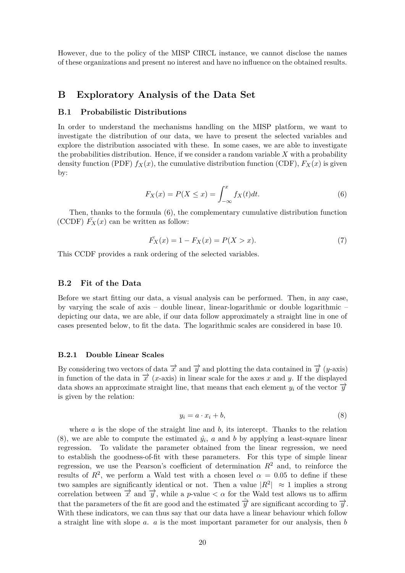However, due to the policy of the MISP CIRCL instance, we cannot disclose the names of these organizations and present no interest and have no influence on the obtained results.

## **B Exploratory Analysis of the Data Set**

#### **B.1 Probabilistic Distributions**

In order to understand the mechanisms handling on the MISP platform, we want to investigate the distribution of our data, we have to present the selected variables and explore the distribution associated with these. In some cases, we are able to investigate the probabilities distribution. Hence, if we consider a random variable *X* with a probability density function (PDF)  $f_X(x)$ , the cumulative distribution function (CDF),  $F_X(x)$  is given by:

$$
F_X(x) = P(X \le x) = \int_{-\infty}^x f_X(t)dt.
$$
\n(6)

Then, thanks to the formula (6), the complementary cumulative distribution function (CCDF)  $\overline{F}_X(x)$  can be written as follow:

$$
\bar{F_X}(x) = 1 - F_X(x) = P(X > x).
$$
\n(7)

This CCDF provides a rank ordering of the selected variables.

#### **B.2 Fit of the Data**

Before we start fitting our data, a visual analysis can be performed. Then, in any case, by varying the scale of axis – double linear, linear-logarithmic or double logarithmic – depicting our data, we are able, if our data follow approximately a straight line in one of cases presented below, to fit the data. The logarithmic scales are considered in base 10.

#### **B.2.1 Double Linear Scales**

By considering two vectors of data  $\vec{x}$  and  $\vec{y}$  and plotting the data contained in  $\vec{y}$  (*y*-axis) in function of the data in  $\vec{x}$  (*x*-axis) in linear scale for the axes *x* and *y*. If the displayed data shows an approximate straight line, that means that each element  $y_i$  of the vector  $\overrightarrow{y}$ is given by the relation:

$$
y_i = a \cdot x_i + b,\tag{8}
$$

where *a* is the slope of the straight line and *b*, its intercept. Thanks to the relation (8), we are able to compute the estimated  $\hat{y}_i$ , *a* and *b* by applying a least-square linear regression. To validate the parameter obtained from the linear regression, we need to establish the goodness-of-fit with these parameters. For this type of simple linear regression, we use the Pearson's coefficient of determination  $R^2$  and, to reinforce the results of  $R^2$ , we perform a Wald test with a chosen level  $\alpha = 0.05$  to define if these two samples are significantly identical or not. Then a value  $|R^2| \approx 1$  implies a strong correlation between  $\vec{x}$  and  $\vec{y}$ , while a *p*-value  $\langle \alpha \rangle$  for the Wald test allows us to affirm that the parameters of the fit are good and the estimated  $\hat{\vec{v}}$  are significant according to  $\vec{v}$ . With these indicators, we can thus say that our data have a linear behaviour which follow a straight line with slope *a*. *a* is the most important parameter for our analysis, then *b*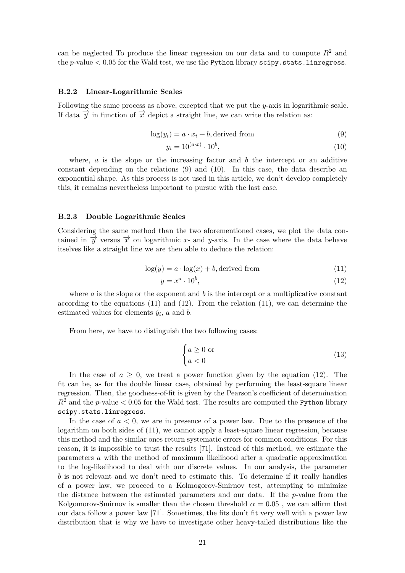can be neglected To produce the linear regression on our data and to compute  $R<sup>2</sup>$  and the *p*-value *<* 0*.*05 for the Wald test, we use the Python library scipy.stats.linregress.

#### **B.2.2 Linear-Logarithmic Scales**

Following the same process as above, excepted that we put the *y*-axis in logarithmic scale. If data  $\vec{y}$  in function of  $\vec{x}$  depict a straight line, we can write the relation as:

$$
log(y_i) = a \cdot x_i + b, derived from
$$
\n(9)

$$
y_i = 10^{(a \cdot x)} \cdot 10^b,\tag{10}
$$

where,  $a$  is the slope or the increasing factor and  $b$  the intercept or an additive constant depending on the relations (9) and (10). In this case, the data describe an exponential shape. As this process is not used in this article, we don't develop completely this, it remains nevertheless important to pursue with the last case.

#### **B.2.3 Double Logarithmic Scales**

Considering the same method than the two aforementioned cases, we plot the data contained in  $\vec{y}$  versus  $\vec{x}$  on logarithmic *x*- and *y*-axis. In the case where the data behave itselves like a straight line we are then able to deduce the relation:

$$
\log(y) = a \cdot \log(x) + b, \text{derived from} \tag{11}
$$

$$
y = x^a \cdot 10^b,\tag{12}
$$

where  $a$  is the slope or the exponent and  $b$  is the intercept or a multiplicative constant according to the equations  $(11)$  and  $(12)$ . From the relation  $(11)$ , we can determine the estimated values for elements  $\hat{y}_i$ , *a* and *b*.

From here, we have to distinguish the two following cases:

$$
\begin{cases} a \ge 0 \text{ or} \\ a < 0 \end{cases} \tag{13}
$$

In the case of  $a \geq 0$ , we treat a power function given by the equation (12). The fit can be, as for the double linear case, obtained by performing the least-square linear regression. Then, the goodness-of-fit is given by the Pearson's coefficient of determination  $R^2$  and the *p*-value  $\lt 0.05$  for the Wald test. The results are computed the Python library scipy.stats.linregress.

In the case of  $a < 0$ , we are in presence of a power law. Due to the presence of the logarithm on both sides of (11), we cannot apply a least-square linear regression, because this method and the similar ones return systematic errors for common conditions. For this reason, it is impossible to trust the results [71]. Instead of this method, we estimate the parameters *a* with the method of maximum likelihood after a quadratic approximation to the log-likelihood to deal with our discrete values. In our analysis, the parameter *b* is not relevant and we don't need to estimate this. To determine if it really handles of a power law, we proceed to a Kolmogorov-Smirnov test, attempting to minimize the distance between the estimated parameters and our data. If the *p*-value from the Kolgomorov-Smirnov is smaller than the chosen threshold  $\alpha = 0.05$ , we can affirm that our data follow a power law [71]. Sometimes, the fits don't fit very well with a power law distribution that is why we have to investigate other heavy-tailed distributions like the